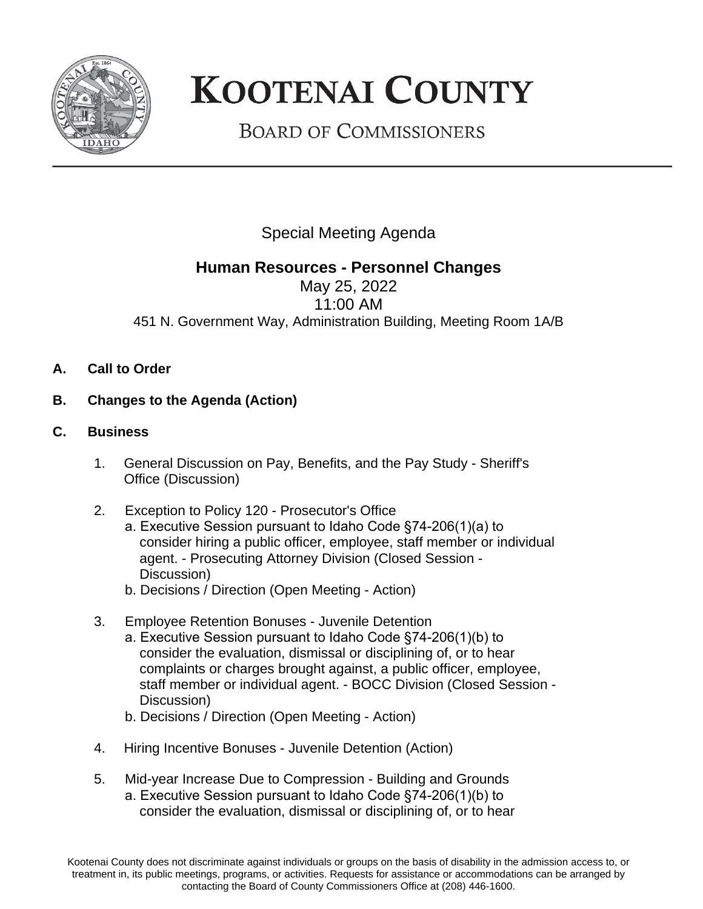

## **KOOTENAI COUNTY**

**BOARD OF COMMISSIONERS** 

Special Meeting Agenda

## **Human Resources - Personnel Changes**

May 25, 2022 11:00 AM 451 N. Government Way, Administration Building, Meeting Room 1A/B

- **A. Call to Order**
- **B. Changes to the Agenda (Action)**
- **C. Business**
	- 1. General Discussion on Pay, Benefits, and the Pay Study Sheriff's Office (Discussion)
	- 2. Exception to Policy 120 Prosecutor's Office a. Executive Session pursuant to Idaho Code §74-206(1)(a) to consider hiring a public officer, employee, staff member or individual agent. - Prosecuting Attorney Division (Closed Session - Discussion)
		- b. Decisions / Direction (Open Meeting Action)
	- 3. Employee Retention Bonuses Juvenile Detention
		- a. Executive Session pursuant to Idaho Code §74-206(1)(b) to consider the evaluation, dismissal or disciplining of, or to hear complaints or charges brought against, a public officer, employee, staff member or individual agent. - BOCC Division (Closed Session - Discussion)
		- b. Decisions / Direction (Open Meeting Action)
	- 4. Hiring Incentive Bonuses Juvenile Detention (Action)
	- 5. Mid-year Increase Due to Compression Building and Grounds a. Executive Session pursuant to Idaho Code §74-206(1)(b) to consider the evaluation, dismissal or disciplining of, or to hear

Kootenai County does not discriminate against individuals or groups on the basis of disability in the admission access to, or treatment in, its public meetings, programs, or activities. Requests for assistance or accommodations can be arranged by contacting the Board of County Commissioners Office at (208) 446-1600.